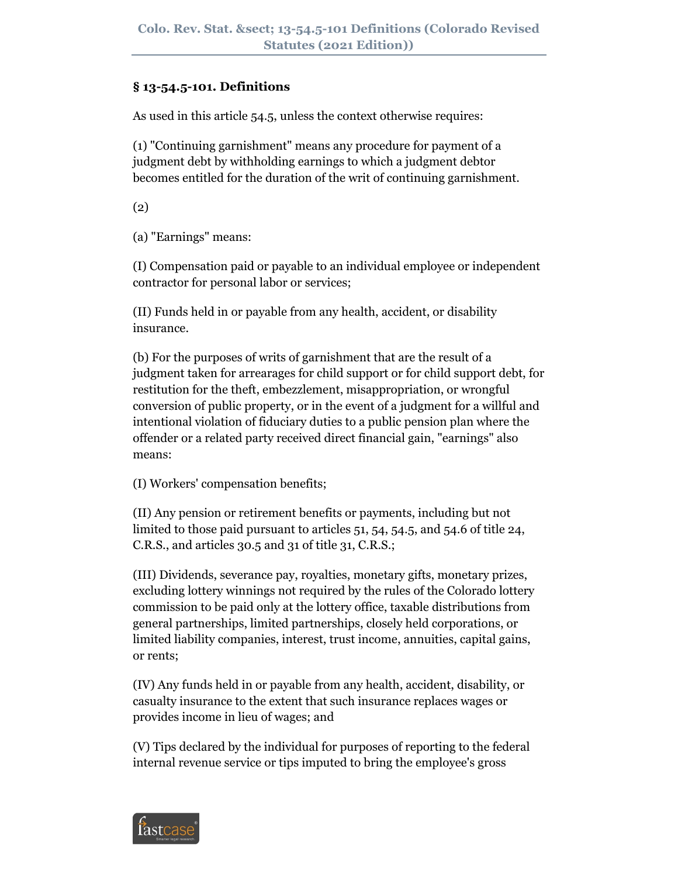#### **§ 13-54.5-101. Definitions**

As used in this article 54.5, unless the context otherwise requires:

(1) "Continuing garnishment" means any procedure for payment of a judgment debt by withholding earnings to which a judgment debtor becomes entitled for the duration of the writ of continuing garnishment.

(2)

(a) "Earnings" means:

(I) Compensation paid or payable to an individual employee or independent contractor for personal labor or services;

(II) Funds held in or payable from any health, accident, or disability insurance.

(b) For the purposes of writs of garnishment that are the result of a judgment taken for arrearages for child support or for child support debt, for restitution for the theft, embezzlement, misappropriation, or wrongful conversion of public property, or in the event of a judgment for a willful and intentional violation of fiduciary duties to a public pension plan where the offender or a related party received direct financial gain, "earnings" also means:

(I) Workers' compensation benefits;

(II) Any pension or retirement benefits or payments, including but not limited to those paid pursuant to articles 51, 54, 54.5, and 54.6 of title 24, C.R.S., and articles 30.5 and 31 of title 31, C.R.S.;

(III) Dividends, severance pay, royalties, monetary gifts, monetary prizes, excluding lottery winnings not required by the rules of the Colorado lottery commission to be paid only at the lottery office, taxable distributions from general partnerships, limited partnerships, closely held corporations, or limited liability companies, interest, trust income, annuities, capital gains, or rents;

(IV) Any funds held in or payable from any health, accident, disability, or casualty insurance to the extent that such insurance replaces wages or provides income in lieu of wages; and

(V) Tips declared by the individual for purposes of reporting to the federal internal revenue service or tips imputed to bring the employee's gross

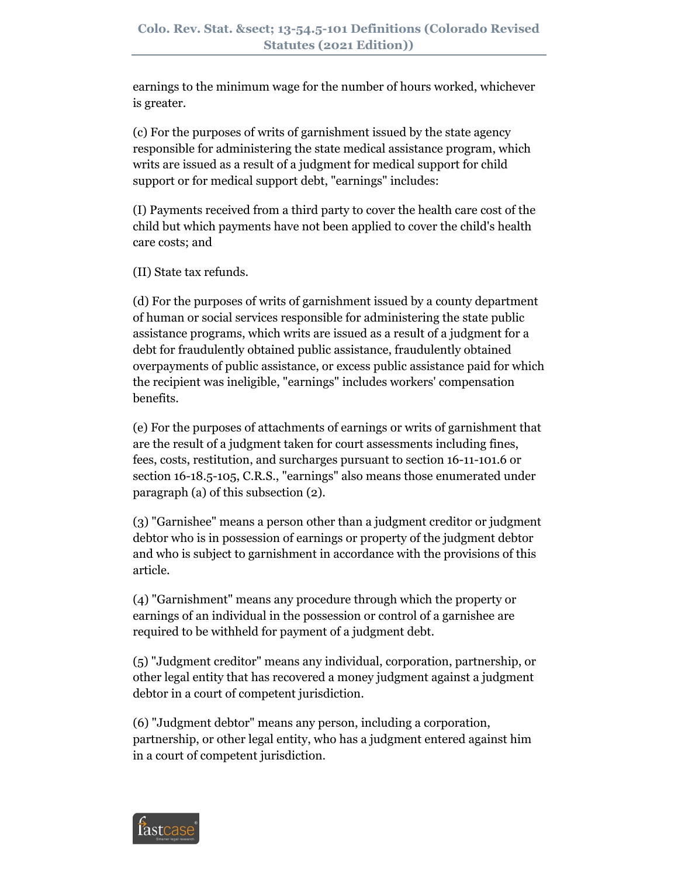earnings to the minimum wage for the number of hours worked, whichever is greater.

(c) For the purposes of writs of garnishment issued by the state agency responsible for administering the state medical assistance program, which writs are issued as a result of a judgment for medical support for child support or for medical support debt, "earnings" includes:

(I) Payments received from a third party to cover the health care cost of the child but which payments have not been applied to cover the child's health care costs; and

(II) State tax refunds.

(d) For the purposes of writs of garnishment issued by a county department of human or social services responsible for administering the state public assistance programs, which writs are issued as a result of a judgment for a debt for fraudulently obtained public assistance, fraudulently obtained overpayments of public assistance, or excess public assistance paid for which the recipient was ineligible, "earnings" includes workers' compensation benefits.

(e) For the purposes of attachments of earnings or writs of garnishment that are the result of a judgment taken for court assessments including fines, fees, costs, restitution, and surcharges pursuant to section 16-11-101.6 or section 16-18.5-105, C.R.S., "earnings" also means those enumerated under paragraph (a) of this subsection (2).

(3) "Garnishee" means a person other than a judgment creditor or judgment debtor who is in possession of earnings or property of the judgment debtor and who is subject to garnishment in accordance with the provisions of this article.

(4) "Garnishment" means any procedure through which the property or earnings of an individual in the possession or control of a garnishee are required to be withheld for payment of a judgment debt.

(5) "Judgment creditor" means any individual, corporation, partnership, or other legal entity that has recovered a money judgment against a judgment debtor in a court of competent jurisdiction.

(6) "Judgment debtor" means any person, including a corporation, partnership, or other legal entity, who has a judgment entered against him in a court of competent jurisdiction.

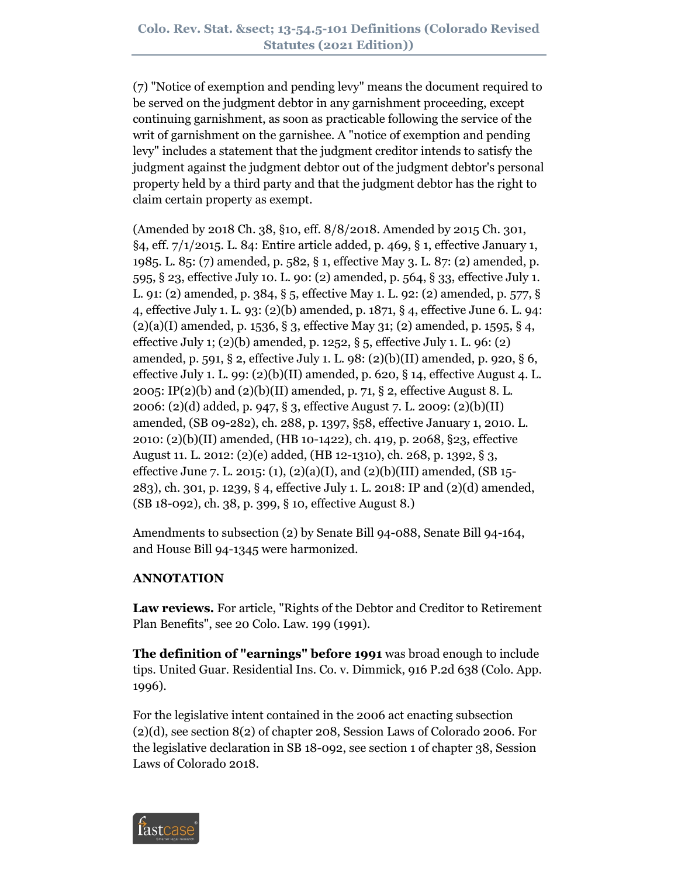(7) "Notice of exemption and pending levy" means the document required to be served on the judgment debtor in any garnishment proceeding, except continuing garnishment, as soon as practicable following the service of the writ of garnishment on the garnishee. A "notice of exemption and pending levy" includes a statement that the judgment creditor intends to satisfy the judgment against the judgment debtor out of the judgment debtor's personal property held by a third party and that the judgment debtor has the right to claim certain property as exempt.

(Amended by 2018 Ch. 38, §10, eff. 8/8/2018. Amended by 2015 Ch. 301, §4, eff. 7/1/2015. L. 84: Entire article added, p. 469, § 1, effective January 1, 1985. L. 85: (7) amended, p. 582, § 1, effective May 3. L. 87: (2) amended, p. 595, § 23, effective July 10. L. 90: (2) amended, p. 564, § 33, effective July 1. L. 91: (2) amended, p. 384, § 5, effective May 1. L. 92: (2) amended, p. 577, § 4, effective July 1. L. 93: (2)(b) amended, p. 1871, § 4, effective June 6. L. 94:  $(2)(a)(I)$  amended, p. 1536, § 3, effective May 31; (2) amended, p. 1595, § 4, effective July 1; (2)(b) amended, p. 1252, § 5, effective July 1. L. 96: (2) amended, p. 591, § 2, effective July 1. L. 98: (2)(b)(II) amended, p. 920, § 6, effective July 1. L. 99:  $(2)(b)(II)$  amended, p. 620, § 14, effective August 4. L. 2005: IP(2)(b) and (2)(b)(II) amended, p. 71,  $\S$  2, effective August 8. L. 2006: (2)(d) added, p. 947, § 3, effective August 7. L. 2009: (2)(b)(II) amended, (SB 09-282), ch. 288, p. 1397, §58, effective January 1, 2010. L. 2010: (2)(b)(II) amended, (HB 10-1422), ch. 419, p. 2068, §23, effective August 11. L. 2012: (2)(e) added, (HB 12-1310), ch. 268, p. 1392, § 3, effective June 7. L. 2015: (1), (2)(a)(I), and (2)(b)(III) amended, (SB 15-283), ch. 301, p. 1239, § 4, effective July 1. L. 2018: IP and (2)(d) amended, (SB 18-092), ch. 38, p. 399, § 10, effective August 8.)

Amendments to subsection (2) by Senate Bill 94-088, Senate Bill 94-164, and House Bill 94-1345 were harmonized.

# **ANNOTATION**

**Law reviews.** For article, "Rights of the Debtor and Creditor to Retirement Plan Benefits", see 20 Colo. Law. 199 (1991).

**The definition of "earnings" before 1991** was broad enough to include tips. United Guar. Residential Ins. Co. v. Dimmick, 916 P.2d 638 (Colo. App. 1996).

For the legislative intent contained in the 2006 act enacting subsection (2)(d), see section 8(2) of chapter 208, Session Laws of Colorado 2006. For the legislative declaration in SB 18-092, see section 1 of chapter 38, Session Laws of Colorado 2018.

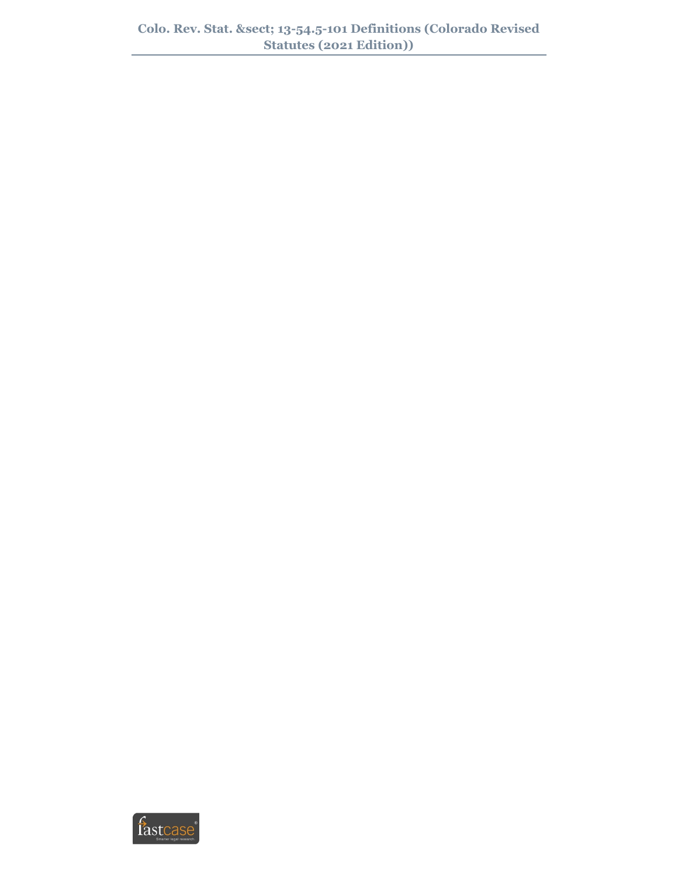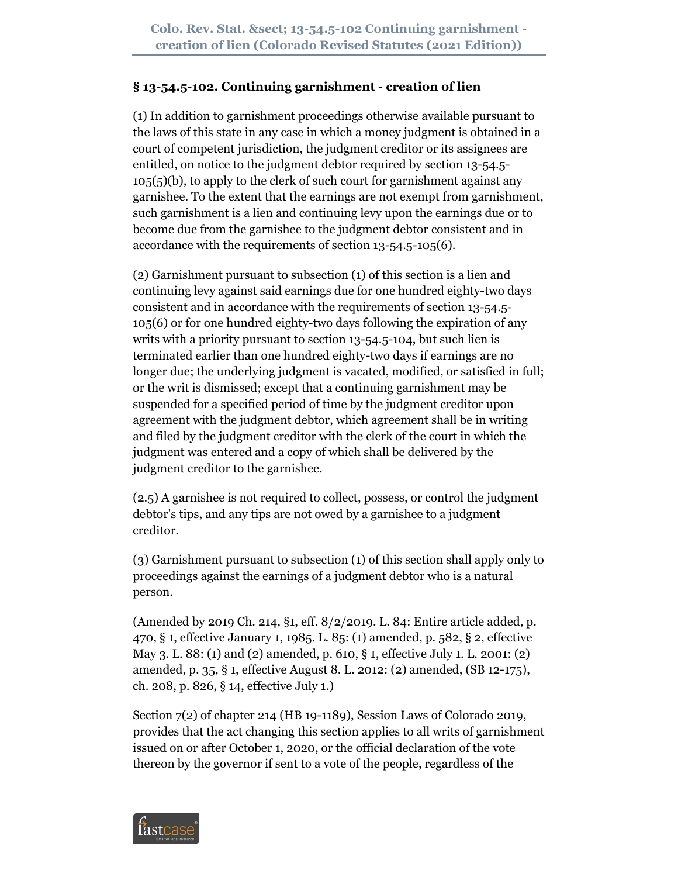#### **§ 13-54.5-102. Continuing garnishment - creation of lien**

(1) In addition to garnishment proceedings otherwise available pursuant to the laws of this state in any case in which a money judgment is obtained in a court of competent jurisdiction, the judgment creditor or its assignees are entitled, on notice to the judgment debtor required by section 13-54.5- 105(5)(b), to apply to the clerk of such court for garnishment against any garnishee. To the extent that the earnings are not exempt from garnishment, such garnishment is a lien and continuing levy upon the earnings due or to become due from the garnishee to the judgment debtor consistent and in accordance with the requirements of section 13-54.5-105(6).

(2) Garnishment pursuant to subsection (1) of this section is a lien and continuing levy against said earnings due for one hundred eighty-two days consistent and in accordance with the requirements of section 13-54.5- 105(6) or for one hundred eighty-two days following the expiration of any writs with a priority pursuant to section 13-54.5-104, but such lien is terminated earlier than one hundred eighty-two days if earnings are no longer due; the underlying judgment is vacated, modified, or satisfied in full; or the writ is dismissed; except that a continuing garnishment may be suspended for a specified period of time by the judgment creditor upon agreement with the judgment debtor, which agreement shall be in writing and filed by the judgment creditor with the clerk of the court in which the judgment was entered and a copy of which shall be delivered by the judgment creditor to the garnishee.

(2.5) A garnishee is not required to collect, possess, or control the judgment debtor's tips, and any tips are not owed by a garnishee to a judgment creditor.

(3) Garnishment pursuant to subsection (1) of this section shall apply only to proceedings against the earnings of a judgment debtor who is a natural person.

(Amended by 2019 Ch. 214, §1, eff. 8/2/2019. L. 84: Entire article added, p. 470, § 1, effective January 1, 1985. L. 85: (1) amended, p. 582, § 2, effective May 3. L. 88: (1) and (2) amended, p. 610, § 1, effective July 1. L. 2001: (2) amended, p. 35, § 1, effective August 8. L. 2012: (2) amended, (SB 12-175), ch. 208, p. 826, § 14, effective July 1.)

Section 7(2) of chapter 214 (HB 19-1189), Session Laws of Colorado 2019, provides that the act changing this section applies to all writs of garnishment issued on or after October 1, 2020, or the official declaration of the vote thereon by the governor if sent to a vote of the people, regardless of the

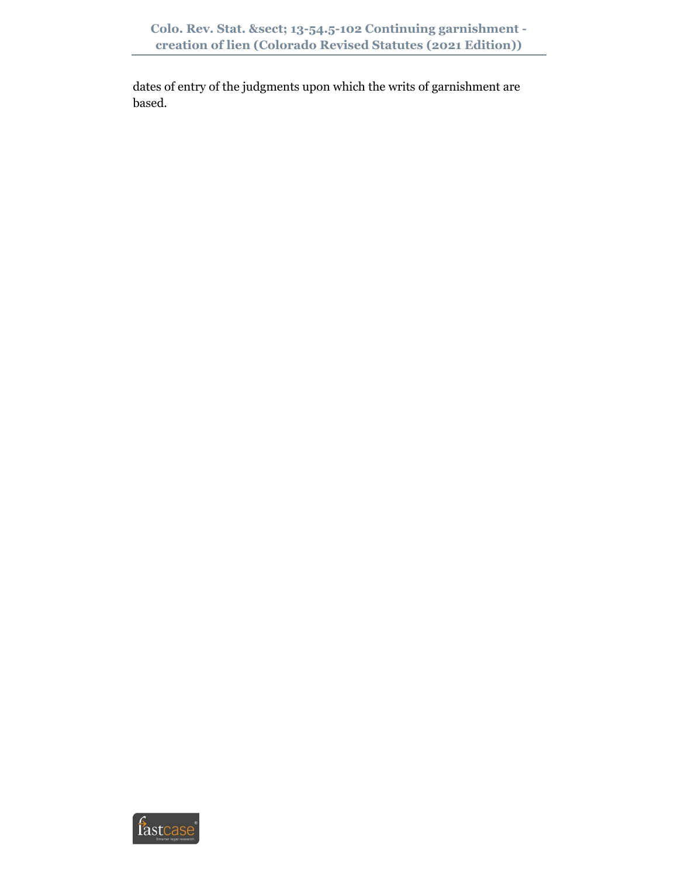dates of entry of the judgments upon which the writs of garnishment are based.

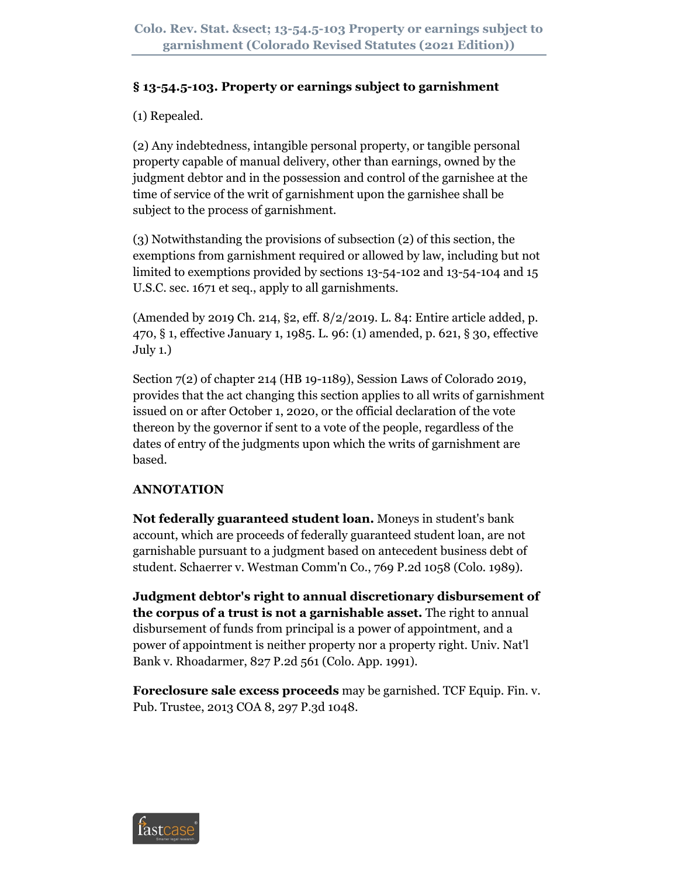#### **§ 13-54.5-103. Property or earnings subject to garnishment**

(1) Repealed.

(2) Any indebtedness, intangible personal property, or tangible personal property capable of manual delivery, other than earnings, owned by the judgment debtor and in the possession and control of the garnishee at the time of service of the writ of garnishment upon the garnishee shall be subject to the process of garnishment.

(3) Notwithstanding the provisions of subsection (2) of this section, the exemptions from garnishment required or allowed by law, including but not limited to exemptions provided by sections 13-54-102 and 13-54-104 and 15 U.S.C. sec. 1671 et seq., apply to all garnishments.

(Amended by 2019 Ch. 214, §2, eff. 8/2/2019. L. 84: Entire article added, p. 470, § 1, effective January 1, 1985. L. 96: (1) amended, p. 621, § 30, effective July 1.)

Section 7(2) of chapter 214 (HB 19-1189), Session Laws of Colorado 2019, provides that the act changing this section applies to all writs of garnishment issued on or after October 1, 2020, or the official declaration of the vote thereon by the governor if sent to a vote of the people, regardless of the dates of entry of the judgments upon which the writs of garnishment are based.

# **ANNOTATION**

**Not federally guaranteed student loan.** Moneys in student's bank account, which are proceeds of federally guaranteed student loan, are not garnishable pursuant to a judgment based on antecedent business debt of student. Schaerrer v. Westman Comm'n Co., 769 P.2d 1058 (Colo. 1989).

**Judgment debtor's right to annual discretionary disbursement of the corpus of a trust is not a garnishable asset.** The right to annual disbursement of funds from principal is a power of appointment, and a power of appointment is neither property nor a property right. Univ. Nat'l Bank v. Rhoadarmer, 827 P.2d 561 (Colo. App. 1991).

**Foreclosure sale excess proceeds** may be garnished. TCF Equip. Fin. v. Pub. Trustee, 2013 COA 8, 297 P.3d 1048.

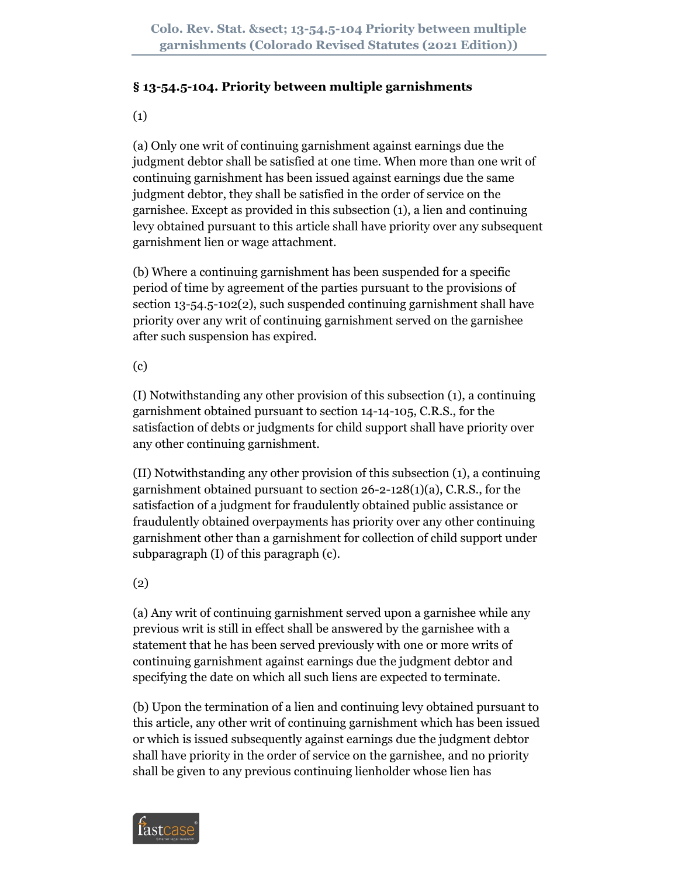# **§ 13-54.5-104. Priority between multiple garnishments**

(1)

(a) Only one writ of continuing garnishment against earnings due the judgment debtor shall be satisfied at one time. When more than one writ of continuing garnishment has been issued against earnings due the same judgment debtor, they shall be satisfied in the order of service on the garnishee. Except as provided in this subsection (1), a lien and continuing levy obtained pursuant to this article shall have priority over any subsequent garnishment lien or wage attachment.

(b) Where a continuing garnishment has been suspended for a specific period of time by agreement of the parties pursuant to the provisions of section 13-54.5-102(2), such suspended continuing garnishment shall have priority over any writ of continuing garnishment served on the garnishee after such suspension has expired.

(c)

(I) Notwithstanding any other provision of this subsection (1), a continuing garnishment obtained pursuant to section 14-14-105, C.R.S., for the satisfaction of debts or judgments for child support shall have priority over any other continuing garnishment.

(II) Notwithstanding any other provision of this subsection (1), a continuing garnishment obtained pursuant to section 26-2-128(1)(a), C.R.S., for the satisfaction of a judgment for fraudulently obtained public assistance or fraudulently obtained overpayments has priority over any other continuing garnishment other than a garnishment for collection of child support under subparagraph (I) of this paragraph (c).

(2)

(a) Any writ of continuing garnishment served upon a garnishee while any previous writ is still in effect shall be answered by the garnishee with a statement that he has been served previously with one or more writs of continuing garnishment against earnings due the judgment debtor and specifying the date on which all such liens are expected to terminate.

(b) Upon the termination of a lien and continuing levy obtained pursuant to this article, any other writ of continuing garnishment which has been issued or which is issued subsequently against earnings due the judgment debtor shall have priority in the order of service on the garnishee, and no priority shall be given to any previous continuing lienholder whose lien has

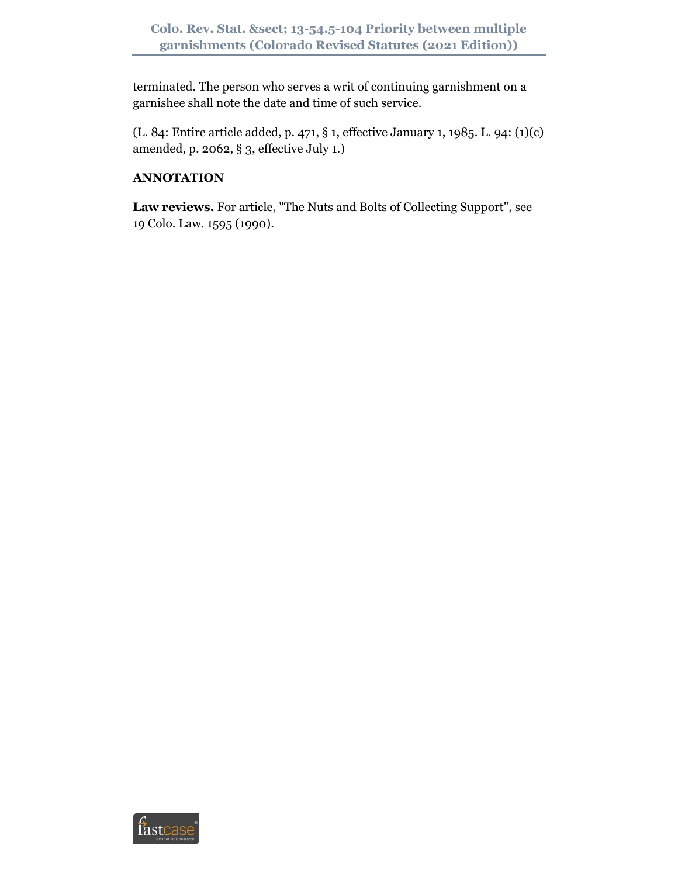terminated. The person who serves a writ of continuing garnishment on a garnishee shall note the date and time of such service.

(L. 84: Entire article added, p. 471, § 1, effective January 1, 1985. L. 94: (1)(c) amended, p. 2062, § 3, effective July 1.)

### **ANNOTATION**

**Law reviews.** For article, "The Nuts and Bolts of Collecting Support", see 19 Colo. Law. 1595 (1990).

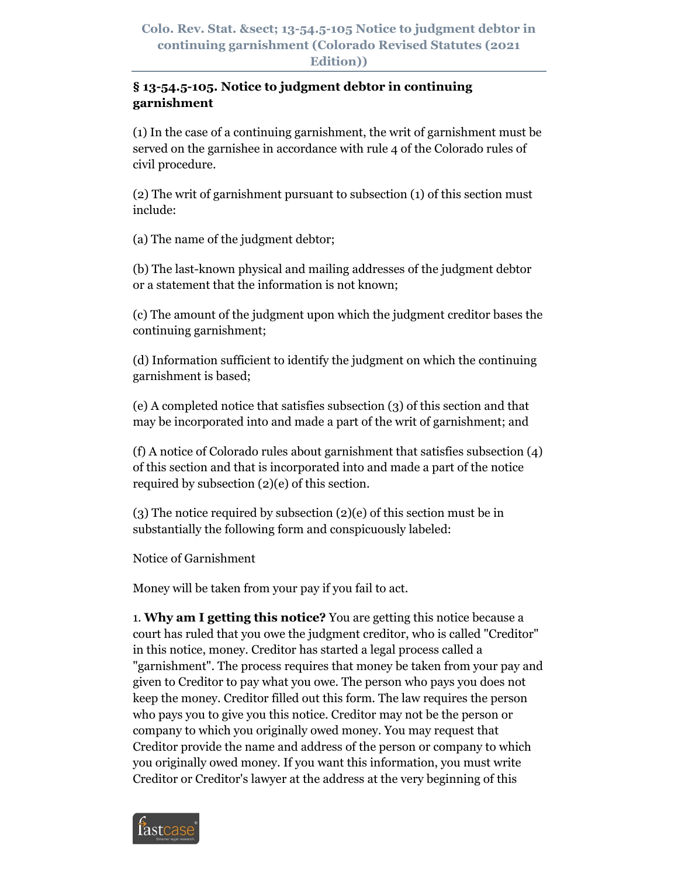# **§ 13-54.5-105. Notice to judgment debtor in continuing garnishment**

(1) In the case of a continuing garnishment, the writ of garnishment must be served on the garnishee in accordance with rule 4 of the Colorado rules of civil procedure.

(2) The writ of garnishment pursuant to subsection (1) of this section must include:

(a) The name of the judgment debtor;

(b) The last-known physical and mailing addresses of the judgment debtor or a statement that the information is not known;

(c) The amount of the judgment upon which the judgment creditor bases the continuing garnishment;

(d) Information sufficient to identify the judgment on which the continuing garnishment is based;

(e) A completed notice that satisfies subsection (3) of this section and that may be incorporated into and made a part of the writ of garnishment; and

(f) A notice of Colorado rules about garnishment that satisfies subsection (4) of this section and that is incorporated into and made a part of the notice required by subsection (2)(e) of this section.

(3) The notice required by subsection (2)(e) of this section must be in substantially the following form and conspicuously labeled:

Notice of Garnishment

Money will be taken from your pay if you fail to act.

1. **Why am I getting this notice?** You are getting this notice because a court has ruled that you owe the judgment creditor, who is called "Creditor" in this notice, money. Creditor has started a legal process called a "garnishment". The process requires that money be taken from your pay and given to Creditor to pay what you owe. The person who pays you does not keep the money. Creditor filled out this form. The law requires the person who pays you to give you this notice. Creditor may not be the person or company to which you originally owed money. You may request that Creditor provide the name and address of the person or company to which you originally owed money. If you want this information, you must write Creditor or Creditor's lawyer at the address at the very beginning of this

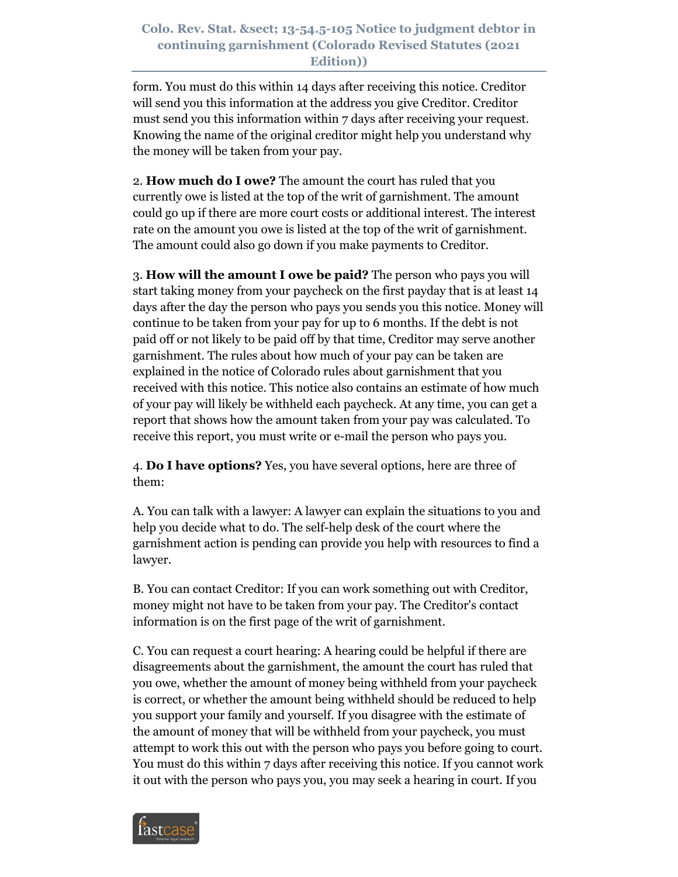form. You must do this within 14 days after receiving this notice. Creditor will send you this information at the address you give Creditor. Creditor must send you this information within 7 days after receiving your request. Knowing the name of the original creditor might help you understand why the money will be taken from your pay.

2. **How much do I owe?** The amount the court has ruled that you currently owe is listed at the top of the writ of garnishment. The amount could go up if there are more court costs or additional interest. The interest rate on the amount you owe is listed at the top of the writ of garnishment. The amount could also go down if you make payments to Creditor.

3. **How will the amount I owe be paid?** The person who pays you will start taking money from your paycheck on the first payday that is at least 14 days after the day the person who pays you sends you this notice. Money will continue to be taken from your pay for up to 6 months. If the debt is not paid off or not likely to be paid off by that time, Creditor may serve another garnishment. The rules about how much of your pay can be taken are explained in the notice of Colorado rules about garnishment that you received with this notice. This notice also contains an estimate of how much of your pay will likely be withheld each paycheck. At any time, you can get a report that shows how the amount taken from your pay was calculated. To receive this report, you must write or e-mail the person who pays you.

4. **Do I have options?** Yes, you have several options, here are three of them:

A. You can talk with a lawyer: A lawyer can explain the situations to you and help you decide what to do. The self-help desk of the court where the garnishment action is pending can provide you help with resources to find a lawyer.

B. You can contact Creditor: If you can work something out with Creditor, money might not have to be taken from your pay. The Creditor's contact information is on the first page of the writ of garnishment.

C. You can request a court hearing: A hearing could be helpful if there are disagreements about the garnishment, the amount the court has ruled that you owe, whether the amount of money being withheld from your paycheck is correct, or whether the amount being withheld should be reduced to help you support your family and yourself. If you disagree with the estimate of the amount of money that will be withheld from your paycheck, you must attempt to work this out with the person who pays you before going to court. You must do this within 7 days after receiving this notice. If you cannot work it out with the person who pays you, you may seek a hearing in court. If you

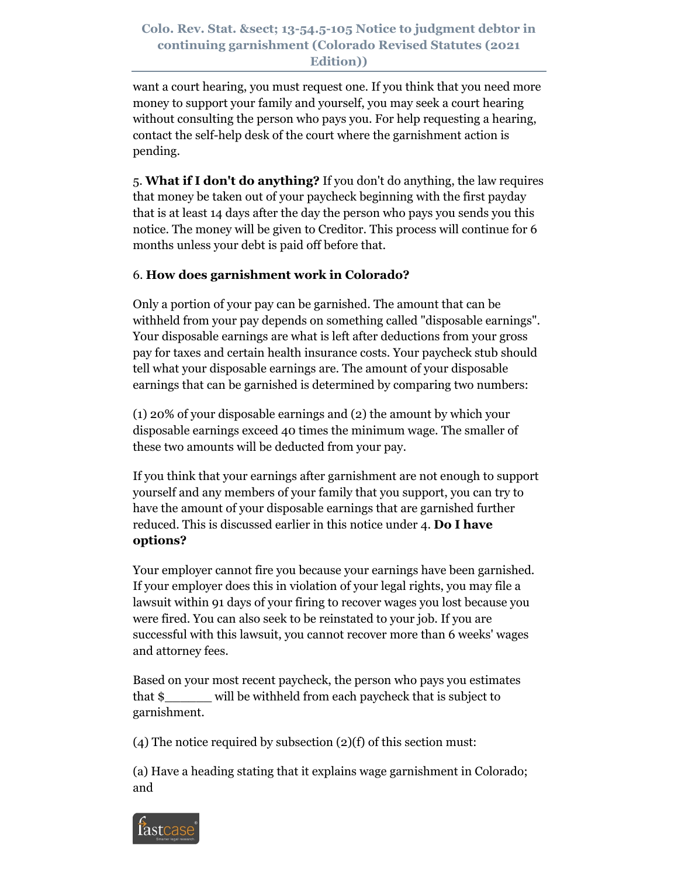want a court hearing, you must request one. If you think that you need more money to support your family and yourself, you may seek a court hearing without consulting the person who pays you. For help requesting a hearing, contact the self-help desk of the court where the garnishment action is pending.

5. **What if I don't do anything?** If you don't do anything, the law requires that money be taken out of your paycheck beginning with the first payday that is at least 14 days after the day the person who pays you sends you this notice. The money will be given to Creditor. This process will continue for 6 months unless your debt is paid off before that.

### 6. **How does garnishment work in Colorado?**

Only a portion of your pay can be garnished. The amount that can be withheld from your pay depends on something called "disposable earnings". Your disposable earnings are what is left after deductions from your gross pay for taxes and certain health insurance costs. Your paycheck stub should tell what your disposable earnings are. The amount of your disposable earnings that can be garnished is determined by comparing two numbers:

(1) 20% of your disposable earnings and (2) the amount by which your disposable earnings exceed 40 times the minimum wage. The smaller of these two amounts will be deducted from your pay.

If you think that your earnings after garnishment are not enough to support yourself and any members of your family that you support, you can try to have the amount of your disposable earnings that are garnished further reduced. This is discussed earlier in this notice under 4. **Do I have options?**

Your employer cannot fire you because your earnings have been garnished. If your employer does this in violation of your legal rights, you may file a lawsuit within 91 days of your firing to recover wages you lost because you were fired. You can also seek to be reinstated to your job. If you are successful with this lawsuit, you cannot recover more than 6 weeks' wages and attorney fees.

Based on your most recent paycheck, the person who pays you estimates that \$\_\_\_\_\_\_ will be withheld from each paycheck that is subject to garnishment.

(4) The notice required by subsection (2)(f) of this section must:

(a) Have a heading stating that it explains wage garnishment in Colorado; and

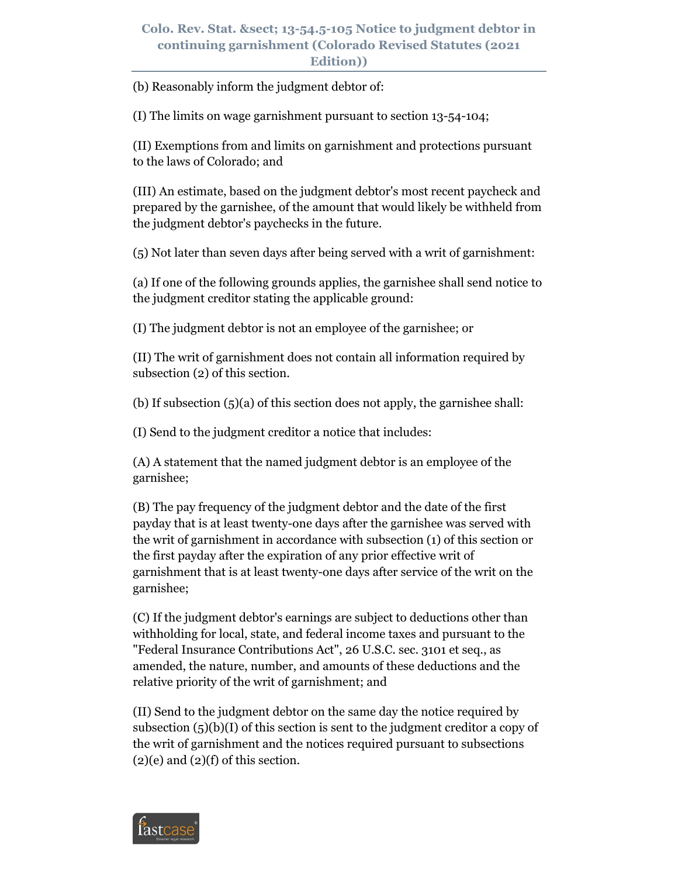(b) Reasonably inform the judgment debtor of:

(I) The limits on wage garnishment pursuant to section 13-54-104;

(II) Exemptions from and limits on garnishment and protections pursuant to the laws of Colorado; and

(III) An estimate, based on the judgment debtor's most recent paycheck and prepared by the garnishee, of the amount that would likely be withheld from the judgment debtor's paychecks in the future.

(5) Not later than seven days after being served with a writ of garnishment:

(a) If one of the following grounds applies, the garnishee shall send notice to the judgment creditor stating the applicable ground:

(I) The judgment debtor is not an employee of the garnishee; or

(II) The writ of garnishment does not contain all information required by subsection (2) of this section.

(b) If subsection  $(5)(a)$  of this section does not apply, the garnishee shall:

(I) Send to the judgment creditor a notice that includes:

(A) A statement that the named judgment debtor is an employee of the garnishee;

(B) The pay frequency of the judgment debtor and the date of the first payday that is at least twenty-one days after the garnishee was served with the writ of garnishment in accordance with subsection (1) of this section or the first payday after the expiration of any prior effective writ of garnishment that is at least twenty-one days after service of the writ on the garnishee;

(C) If the judgment debtor's earnings are subject to deductions other than withholding for local, state, and federal income taxes and pursuant to the "Federal Insurance Contributions Act", 26 U.S.C. sec. 3101 et seq., as amended, the nature, number, and amounts of these deductions and the relative priority of the writ of garnishment; and

(II) Send to the judgment debtor on the same day the notice required by subsection (5)(b)(I) of this section is sent to the judgment creditor a copy of the writ of garnishment and the notices required pursuant to subsections  $(2)(e)$  and  $(2)(f)$  of this section.

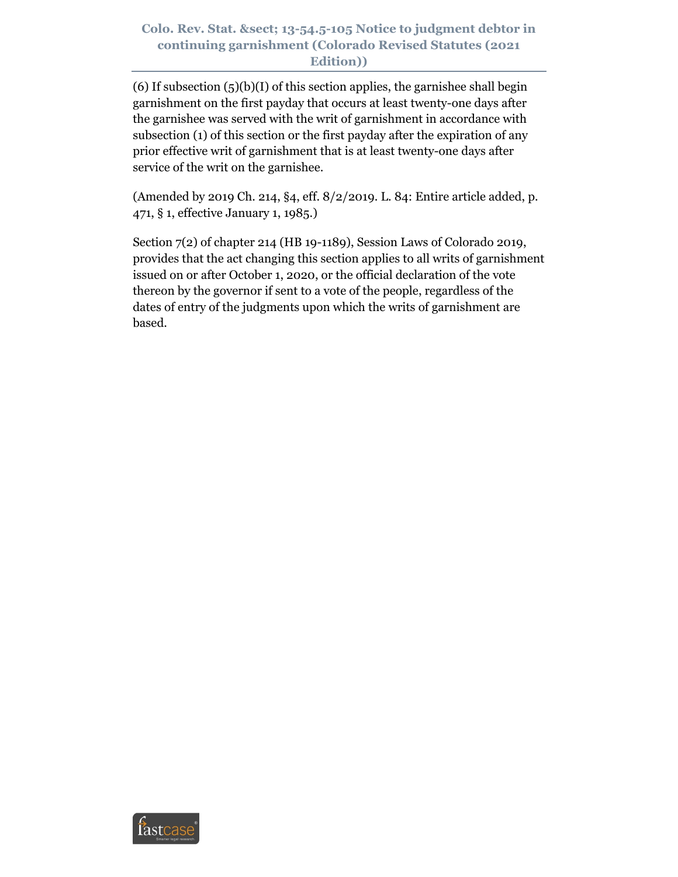(6) If subsection  $(5)(b)(I)$  of this section applies, the garnishee shall begin garnishment on the first payday that occurs at least twenty-one days after the garnishee was served with the writ of garnishment in accordance with subsection (1) of this section or the first payday after the expiration of any prior effective writ of garnishment that is at least twenty-one days after service of the writ on the garnishee.

(Amended by 2019 Ch. 214, §4, eff. 8/2/2019. L. 84: Entire article added, p. 471, § 1, effective January 1, 1985.)

Section 7(2) of chapter 214 (HB 19-1189), Session Laws of Colorado 2019, provides that the act changing this section applies to all writs of garnishment issued on or after October 1, 2020, or the official declaration of the vote thereon by the governor if sent to a vote of the people, regardless of the dates of entry of the judgments upon which the writs of garnishment are based.

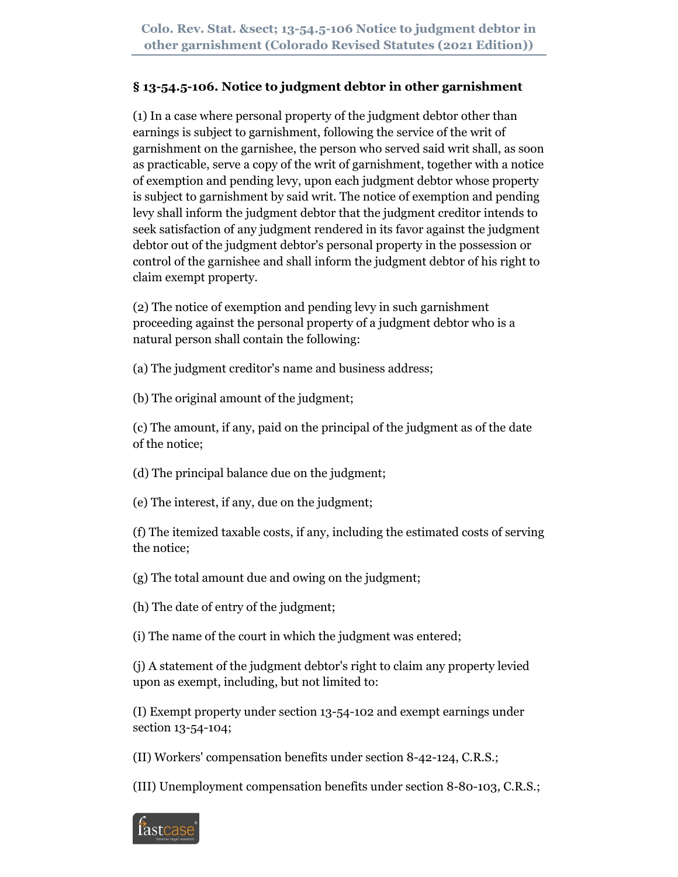### **§ 13-54.5-106. Notice to judgment debtor in other garnishment**

(1) In a case where personal property of the judgment debtor other than earnings is subject to garnishment, following the service of the writ of garnishment on the garnishee, the person who served said writ shall, as soon as practicable, serve a copy of the writ of garnishment, together with a notice of exemption and pending levy, upon each judgment debtor whose property is subject to garnishment by said writ. The notice of exemption and pending levy shall inform the judgment debtor that the judgment creditor intends to seek satisfaction of any judgment rendered in its favor against the judgment debtor out of the judgment debtor's personal property in the possession or control of the garnishee and shall inform the judgment debtor of his right to claim exempt property.

(2) The notice of exemption and pending levy in such garnishment proceeding against the personal property of a judgment debtor who is a natural person shall contain the following:

(a) The judgment creditor's name and business address;

(b) The original amount of the judgment;

(c) The amount, if any, paid on the principal of the judgment as of the date of the notice;

(d) The principal balance due on the judgment;

(e) The interest, if any, due on the judgment;

(f) The itemized taxable costs, if any, including the estimated costs of serving the notice;

(g) The total amount due and owing on the judgment;

(h) The date of entry of the judgment;

(i) The name of the court in which the judgment was entered;

(j) A statement of the judgment debtor's right to claim any property levied upon as exempt, including, but not limited to:

(I) Exempt property under section 13-54-102 and exempt earnings under section 13-54-104;

(II) Workers' compensation benefits under section 8-42-124, C.R.S.;

(III) Unemployment compensation benefits under section 8-80-103, C.R.S.;

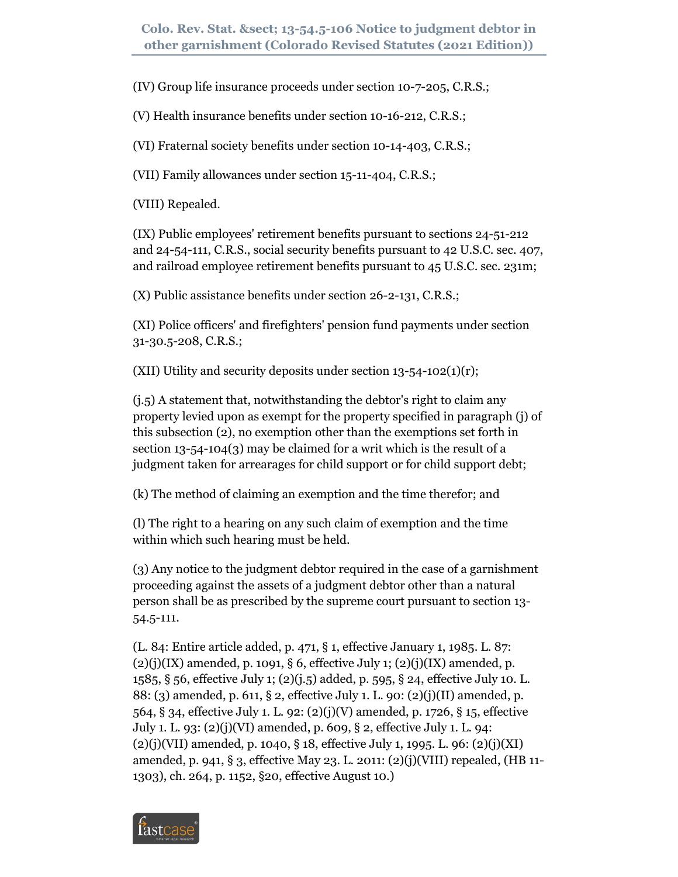(IV) Group life insurance proceeds under section 10-7-205, C.R.S.;

(V) Health insurance benefits under section 10-16-212, C.R.S.;

(VI) Fraternal society benefits under section 10-14-403, C.R.S.;

(VII) Family allowances under section 15-11-404, C.R.S.;

(VIII) Repealed.

(IX) Public employees' retirement benefits pursuant to sections 24-51-212 and 24-54-111, C.R.S., social security benefits pursuant to 42 U.S.C. sec. 407, and railroad employee retirement benefits pursuant to 45 U.S.C. sec. 231m;

(X) Public assistance benefits under section 26-2-131, C.R.S.;

(XI) Police officers' and firefighters' pension fund payments under section 31-30.5-208, C.R.S.;

(XII) Utility and security deposits under section  $13-54-102(1)(r)$ ;

(j.5) A statement that, notwithstanding the debtor's right to claim any property levied upon as exempt for the property specified in paragraph (j) of this subsection (2), no exemption other than the exemptions set forth in section 13-54-104(3) may be claimed for a writ which is the result of a judgment taken for arrearages for child support or for child support debt;

(k) The method of claiming an exemption and the time therefor; and

(l) The right to a hearing on any such claim of exemption and the time within which such hearing must be held.

(3) Any notice to the judgment debtor required in the case of a garnishment proceeding against the assets of a judgment debtor other than a natural person shall be as prescribed by the supreme court pursuant to section 13- 54.5-111.

(L. 84: Entire article added, p. 471, § 1, effective January 1, 1985. L. 87:  $(2)(j)(IX)$  amended, p. 1091, § 6, effective July 1;  $(2)(j)(IX)$  amended, p. 1585, § 56, effective July 1; (2)(j.5) added, p. 595, § 24, effective July 10. L. 88: (3) amended, p. 611, § 2, effective July 1. L. 90: (2)(j)(II) amended, p. 564, § 34, effective July 1. L. 92: (2)(j)(V) amended, p. 1726, § 15, effective July 1. L. 93: (2)(j)(VI) amended, p. 609, § 2, effective July 1. L. 94:  $(2)(i)(VII)$  amended, p. 1040, § 18, effective July 1, 1995. L. 96:  $(2)(i)(XI)$ amended, p. 941, § 3, effective May 23. L. 2011: (2)(j)(VIII) repealed, (HB 11- 1303), ch. 264, p. 1152, §20, effective August 10.)

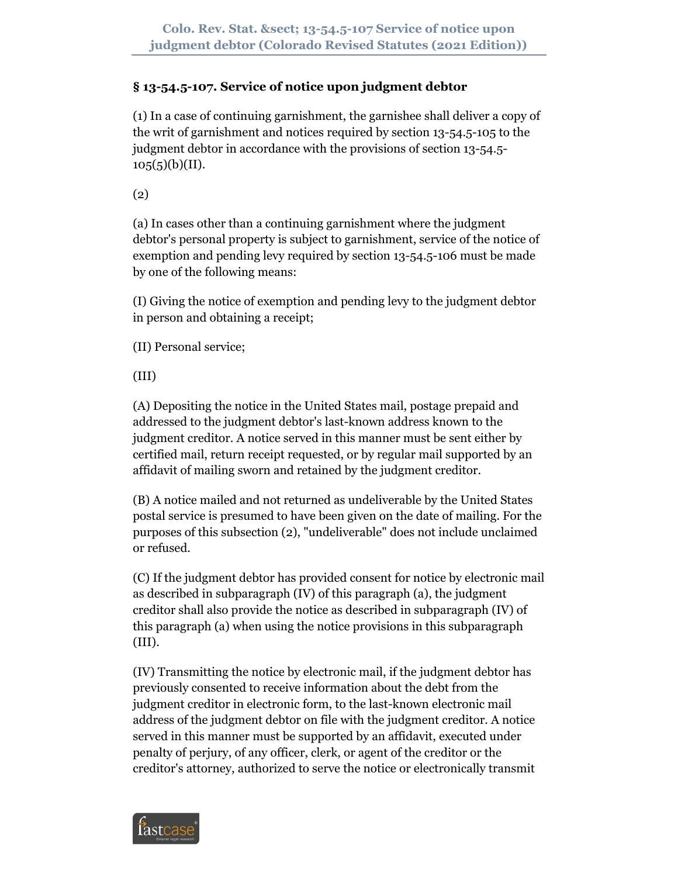# **§ 13-54.5-107. Service of notice upon judgment debtor**

(1) In a case of continuing garnishment, the garnishee shall deliver a copy of the writ of garnishment and notices required by section 13-54.5-105 to the judgment debtor in accordance with the provisions of section 13-54.5-  $105(5)(b)(II).$ 

(2)

(a) In cases other than a continuing garnishment where the judgment debtor's personal property is subject to garnishment, service of the notice of exemption and pending levy required by section 13-54.5-106 must be made by one of the following means:

(I) Giving the notice of exemption and pending levy to the judgment debtor in person and obtaining a receipt;

(II) Personal service;

(III)

(A) Depositing the notice in the United States mail, postage prepaid and addressed to the judgment debtor's last-known address known to the judgment creditor. A notice served in this manner must be sent either by certified mail, return receipt requested, or by regular mail supported by an affidavit of mailing sworn and retained by the judgment creditor.

(B) A notice mailed and not returned as undeliverable by the United States postal service is presumed to have been given on the date of mailing. For the purposes of this subsection (2), "undeliverable" does not include unclaimed or refused.

(C) If the judgment debtor has provided consent for notice by electronic mail as described in subparagraph (IV) of this paragraph (a), the judgment creditor shall also provide the notice as described in subparagraph (IV) of this paragraph (a) when using the notice provisions in this subparagraph (III).

(IV) Transmitting the notice by electronic mail, if the judgment debtor has previously consented to receive information about the debt from the judgment creditor in electronic form, to the last-known electronic mail address of the judgment debtor on file with the judgment creditor. A notice served in this manner must be supported by an affidavit, executed under penalty of perjury, of any officer, clerk, or agent of the creditor or the creditor's attorney, authorized to serve the notice or electronically transmit

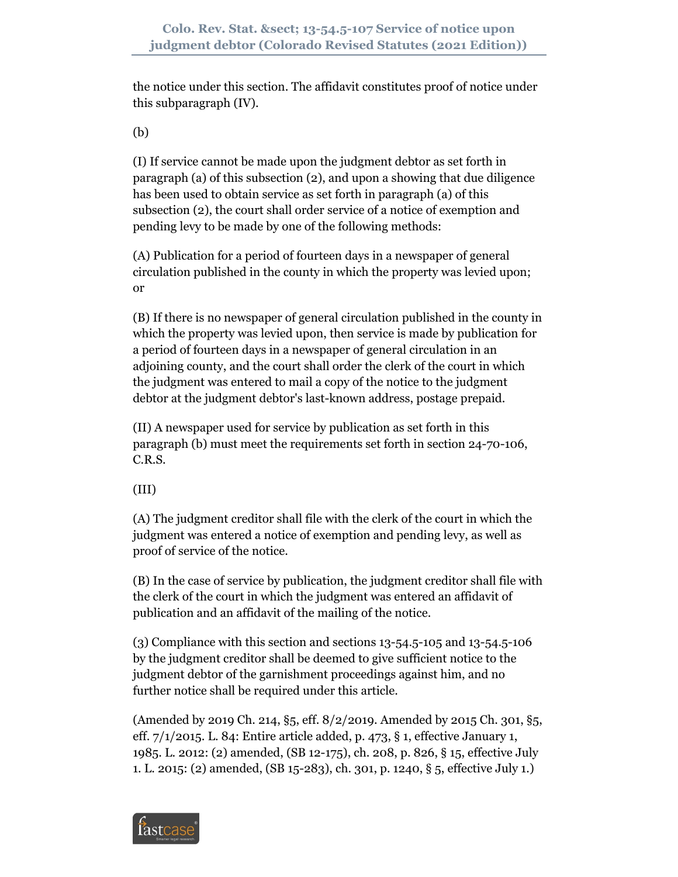the notice under this section. The affidavit constitutes proof of notice under this subparagraph (IV).

(b)

(I) If service cannot be made upon the judgment debtor as set forth in paragraph (a) of this subsection (2), and upon a showing that due diligence has been used to obtain service as set forth in paragraph (a) of this subsection (2), the court shall order service of a notice of exemption and pending levy to be made by one of the following methods:

(A) Publication for a period of fourteen days in a newspaper of general circulation published in the county in which the property was levied upon; or

(B) If there is no newspaper of general circulation published in the county in which the property was levied upon, then service is made by publication for a period of fourteen days in a newspaper of general circulation in an adjoining county, and the court shall order the clerk of the court in which the judgment was entered to mail a copy of the notice to the judgment debtor at the judgment debtor's last-known address, postage prepaid.

(II) A newspaper used for service by publication as set forth in this paragraph (b) must meet the requirements set forth in section 24-70-106, C.R.S.

(III)

(A) The judgment creditor shall file with the clerk of the court in which the judgment was entered a notice of exemption and pending levy, as well as proof of service of the notice.

(B) In the case of service by publication, the judgment creditor shall file with the clerk of the court in which the judgment was entered an affidavit of publication and an affidavit of the mailing of the notice.

(3) Compliance with this section and sections 13-54.5-105 and 13-54.5-106 by the judgment creditor shall be deemed to give sufficient notice to the judgment debtor of the garnishment proceedings against him, and no further notice shall be required under this article.

(Amended by 2019 Ch. 214, §5, eff. 8/2/2019. Amended by 2015 Ch. 301, §5, eff. 7/1/2015. L. 84: Entire article added, p. 473, § 1, effective January 1, 1985. L. 2012: (2) amended, (SB 12-175), ch. 208, p. 826, § 15, effective July 1. L. 2015: (2) amended, (SB 15-283), ch. 301, p. 1240, § 5, effective July 1.)

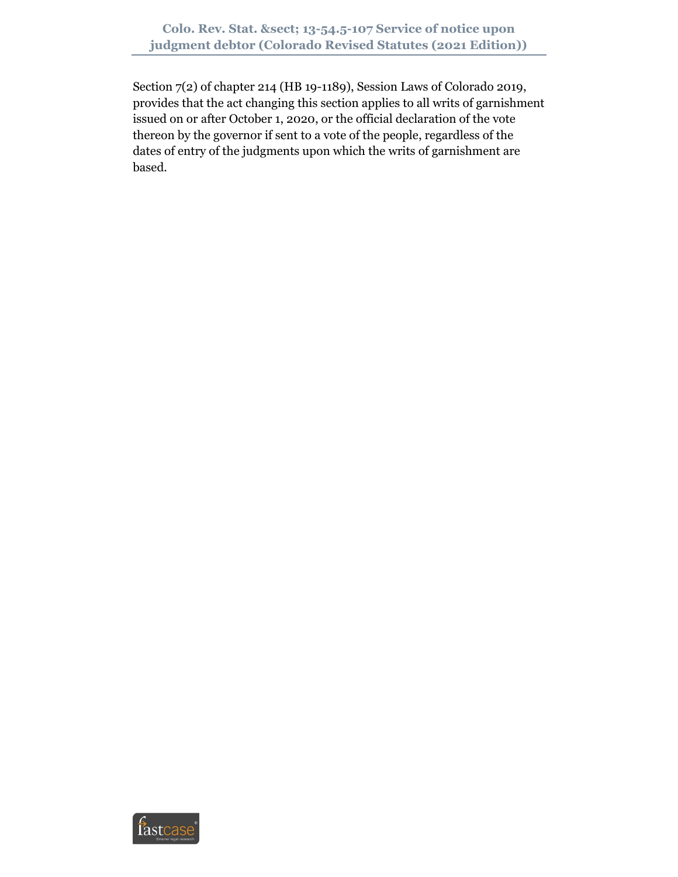Section 7(2) of chapter 214 (HB 19-1189), Session Laws of Colorado 2019, provides that the act changing this section applies to all writs of garnishment issued on or after October 1, 2020, or the official declaration of the vote thereon by the governor if sent to a vote of the people, regardless of the dates of entry of the judgments upon which the writs of garnishment are based.

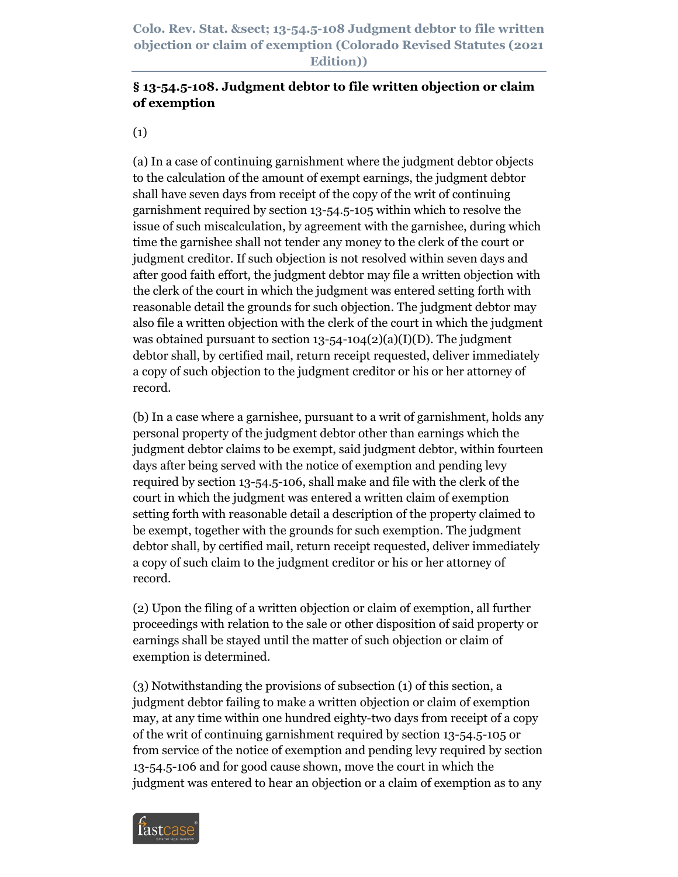**Colo. Rev. Stat. § 13-54.5-108 Judgment debtor to file written objection or claim of exemption (Colorado Revised Statutes (2021 Edition))**

### **§ 13-54.5-108. Judgment debtor to file written objection or claim of exemption**

(1)

(a) In a case of continuing garnishment where the judgment debtor objects to the calculation of the amount of exempt earnings, the judgment debtor shall have seven days from receipt of the copy of the writ of continuing garnishment required by section 13-54.5-105 within which to resolve the issue of such miscalculation, by agreement with the garnishee, during which time the garnishee shall not tender any money to the clerk of the court or judgment creditor. If such objection is not resolved within seven days and after good faith effort, the judgment debtor may file a written objection with the clerk of the court in which the judgment was entered setting forth with reasonable detail the grounds for such objection. The judgment debtor may also file a written objection with the clerk of the court in which the judgment was obtained pursuant to section  $13-54-104(2)(a)(I)(D)$ . The judgment debtor shall, by certified mail, return receipt requested, deliver immediately a copy of such objection to the judgment creditor or his or her attorney of record.

(b) In a case where a garnishee, pursuant to a writ of garnishment, holds any personal property of the judgment debtor other than earnings which the judgment debtor claims to be exempt, said judgment debtor, within fourteen days after being served with the notice of exemption and pending levy required by section 13-54.5-106, shall make and file with the clerk of the court in which the judgment was entered a written claim of exemption setting forth with reasonable detail a description of the property claimed to be exempt, together with the grounds for such exemption. The judgment debtor shall, by certified mail, return receipt requested, deliver immediately a copy of such claim to the judgment creditor or his or her attorney of record.

(2) Upon the filing of a written objection or claim of exemption, all further proceedings with relation to the sale or other disposition of said property or earnings shall be stayed until the matter of such objection or claim of exemption is determined.

(3) Notwithstanding the provisions of subsection (1) of this section, a judgment debtor failing to make a written objection or claim of exemption may, at any time within one hundred eighty-two days from receipt of a copy of the writ of continuing garnishment required by section 13-54.5-105 or from service of the notice of exemption and pending levy required by section 13-54.5-106 and for good cause shown, move the court in which the judgment was entered to hear an objection or a claim of exemption as to any

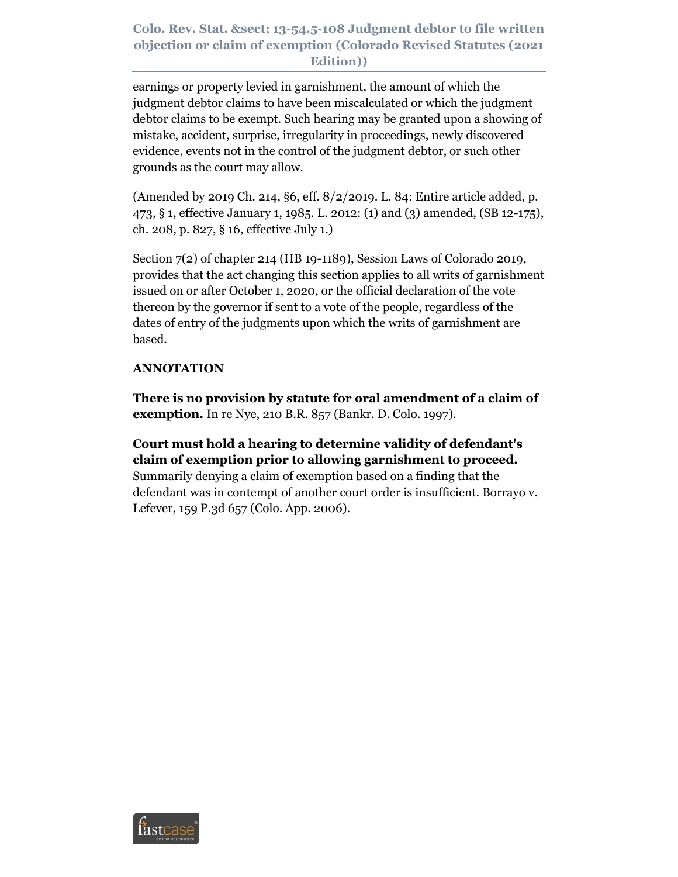**Colo. Rev. Stat. § 13-54.5-108 Judgment debtor to file written objection or claim of exemption (Colorado Revised Statutes (2021 Edition))**

earnings or property levied in garnishment, the amount of which the judgment debtor claims to have been miscalculated or which the judgment debtor claims to be exempt. Such hearing may be granted upon a showing of mistake, accident, surprise, irregularity in proceedings, newly discovered evidence, events not in the control of the judgment debtor, or such other grounds as the court may allow.

(Amended by 2019 Ch. 214, §6, eff. 8/2/2019. L. 84: Entire article added, p. 473, § 1, effective January 1, 1985. L. 2012: (1) and (3) amended, (SB 12-175), ch. 208, p. 827, § 16, effective July 1.)

Section 7(2) of chapter 214 (HB 19-1189), Session Laws of Colorado 2019, provides that the act changing this section applies to all writs of garnishment issued on or after October 1, 2020, or the official declaration of the vote thereon by the governor if sent to a vote of the people, regardless of the dates of entry of the judgments upon which the writs of garnishment are based.

#### **ANNOTATION**

**There is no provision by statute for oral amendment of a claim of exemption.** In re Nye, 210 B.R. 857 (Bankr. D. Colo. 1997).

**Court must hold a hearing to determine validity of defendant's claim of exemption prior to allowing garnishment to proceed.** Summarily denying a claim of exemption based on a finding that the defendant was in contempt of another court order is insufficient. Borrayo v. Lefever, 159 P.3d 657 (Colo. App. 2006).

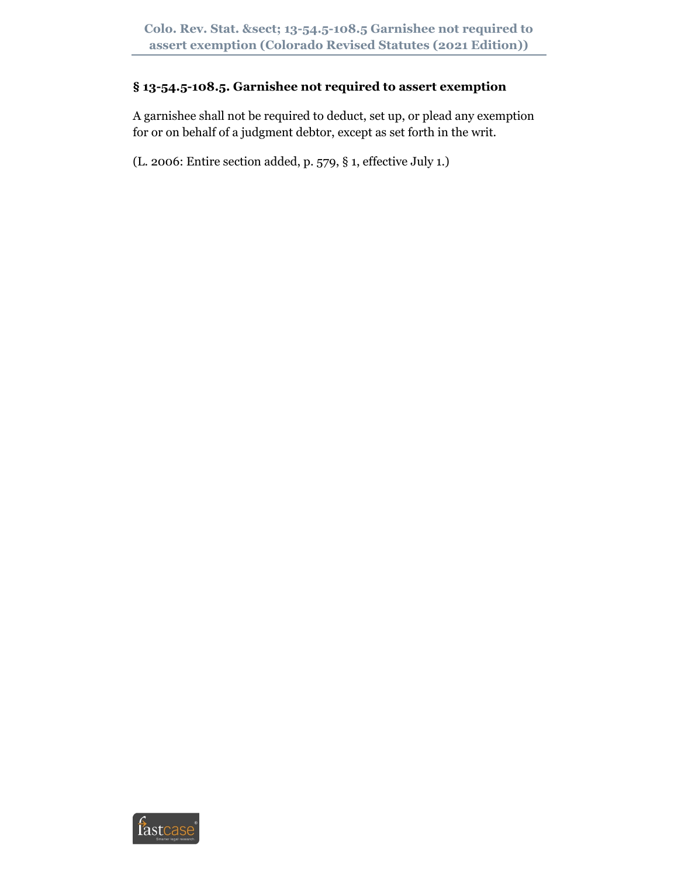# **§ 13-54.5-108.5. Garnishee not required to assert exemption**

A garnishee shall not be required to deduct, set up, or plead any exemption for or on behalf of a judgment debtor, except as set forth in the writ.

(L. 2006: Entire section added, p. 579, § 1, effective July 1.)

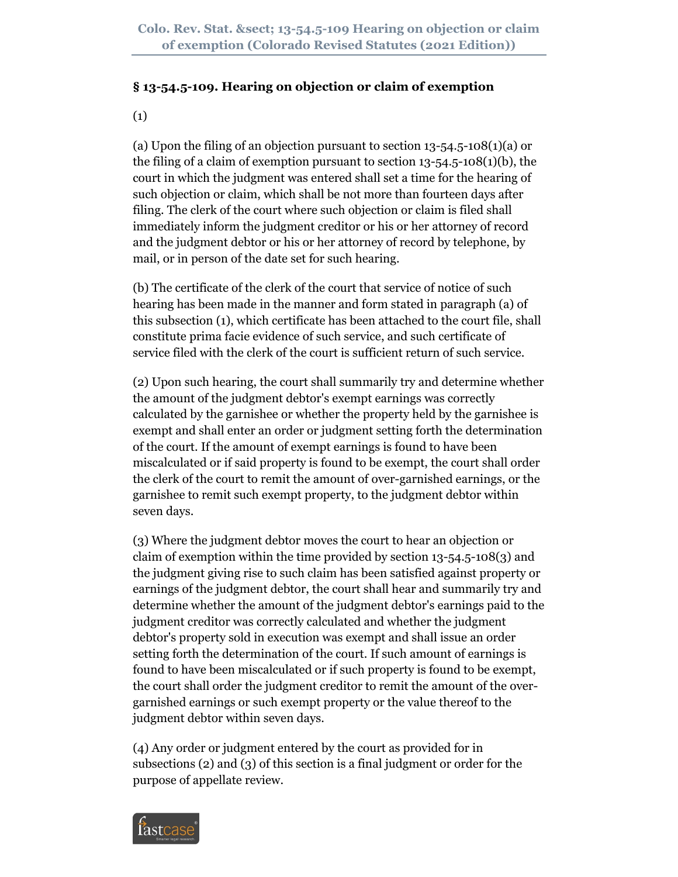### **§ 13-54.5-109. Hearing on objection or claim of exemption**

#### (1)

(a) Upon the filing of an objection pursuant to section  $13-54.5-108(1)(a)$  or the filing of a claim of exemption pursuant to section  $13-54.5-108(1)(b)$ , the court in which the judgment was entered shall set a time for the hearing of such objection or claim, which shall be not more than fourteen days after filing. The clerk of the court where such objection or claim is filed shall immediately inform the judgment creditor or his or her attorney of record and the judgment debtor or his or her attorney of record by telephone, by mail, or in person of the date set for such hearing.

(b) The certificate of the clerk of the court that service of notice of such hearing has been made in the manner and form stated in paragraph (a) of this subsection (1), which certificate has been attached to the court file, shall constitute prima facie evidence of such service, and such certificate of service filed with the clerk of the court is sufficient return of such service.

(2) Upon such hearing, the court shall summarily try and determine whether the amount of the judgment debtor's exempt earnings was correctly calculated by the garnishee or whether the property held by the garnishee is exempt and shall enter an order or judgment setting forth the determination of the court. If the amount of exempt earnings is found to have been miscalculated or if said property is found to be exempt, the court shall order the clerk of the court to remit the amount of over-garnished earnings, or the garnishee to remit such exempt property, to the judgment debtor within seven days.

(3) Where the judgment debtor moves the court to hear an objection or claim of exemption within the time provided by section 13-54.5-108(3) and the judgment giving rise to such claim has been satisfied against property or earnings of the judgment debtor, the court shall hear and summarily try and determine whether the amount of the judgment debtor's earnings paid to the judgment creditor was correctly calculated and whether the judgment debtor's property sold in execution was exempt and shall issue an order setting forth the determination of the court. If such amount of earnings is found to have been miscalculated or if such property is found to be exempt, the court shall order the judgment creditor to remit the amount of the overgarnished earnings or such exempt property or the value thereof to the judgment debtor within seven days.

(4) Any order or judgment entered by the court as provided for in subsections (2) and (3) of this section is a final judgment or order for the purpose of appellate review.

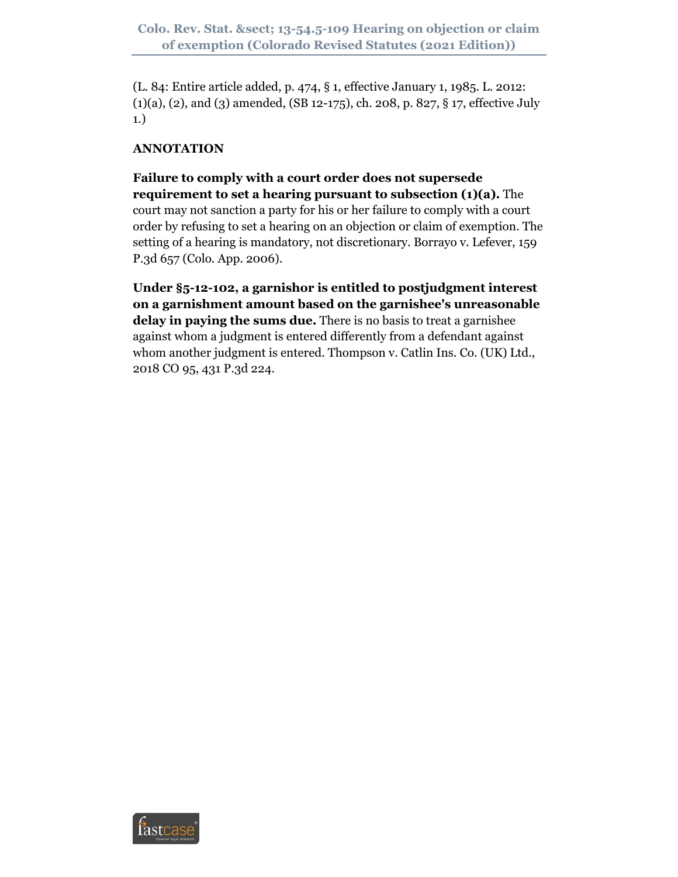**Colo. Rev. Stat. § 13-54.5-109 Hearing on objection or claim of exemption (Colorado Revised Statutes (2021 Edition))**

(L. 84: Entire article added, p. 474, § 1, effective January 1, 1985. L. 2012: (1)(a), (2), and (3) amended, (SB 12-175), ch. 208, p. 827, § 17, effective July 1.)

#### **ANNOTATION**

**Failure to comply with a court order does not supersede requirement to set a hearing pursuant to subsection (1)(a).** The court may not sanction a party for his or her failure to comply with a court order by refusing to set a hearing on an objection or claim of exemption. The setting of a hearing is mandatory, not discretionary. Borrayo v. Lefever, 159 P.3d 657 (Colo. App. 2006).

**Under §5-12-102, a garnishor is entitled to postjudgment interest on a garnishment amount based on the garnishee's unreasonable delay in paying the sums due.** There is no basis to treat a garnishee against whom a judgment is entered differently from a defendant against whom another judgment is entered. Thompson v. Catlin Ins. Co. (UK) Ltd., 2018 CO 95, 431 P.3d 224.

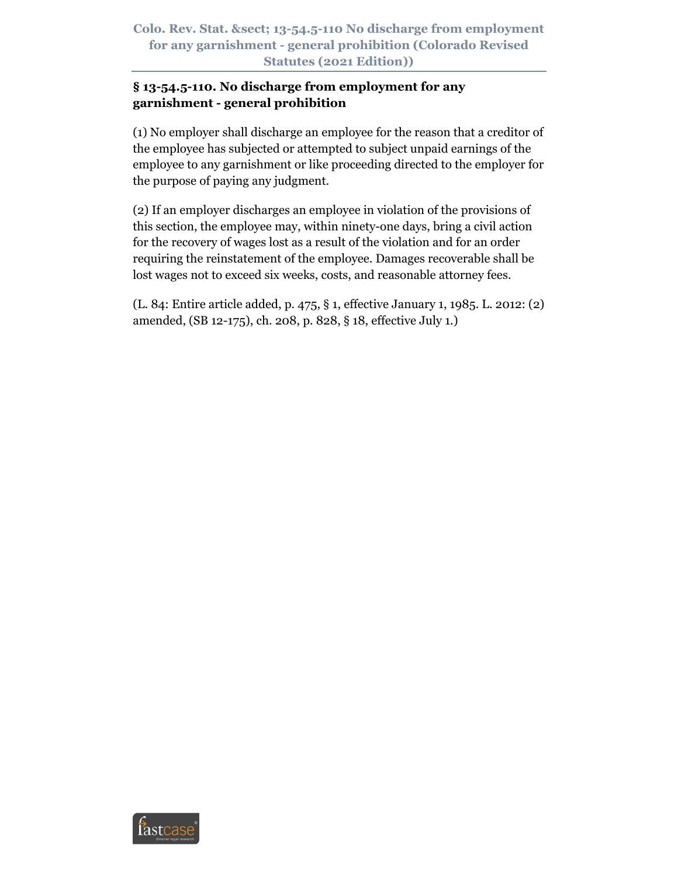**Colo. Rev. Stat. § 13-54.5-110 No discharge from employment for any garnishment - general prohibition (Colorado Revised Statutes (2021 Edition))**

### **§ 13-54.5-110. No discharge from employment for any garnishment - general prohibition**

(1) No employer shall discharge an employee for the reason that a creditor of the employee has subjected or attempted to subject unpaid earnings of the employee to any garnishment or like proceeding directed to the employer for the purpose of paying any judgment.

(2) If an employer discharges an employee in violation of the provisions of this section, the employee may, within ninety-one days, bring a civil action for the recovery of wages lost as a result of the violation and for an order requiring the reinstatement of the employee. Damages recoverable shall be lost wages not to exceed six weeks, costs, and reasonable attorney fees.

(L. 84: Entire article added, p. 475, § 1, effective January 1, 1985. L. 2012: (2) amended, (SB 12-175), ch. 208, p. 828, § 18, effective July 1.)